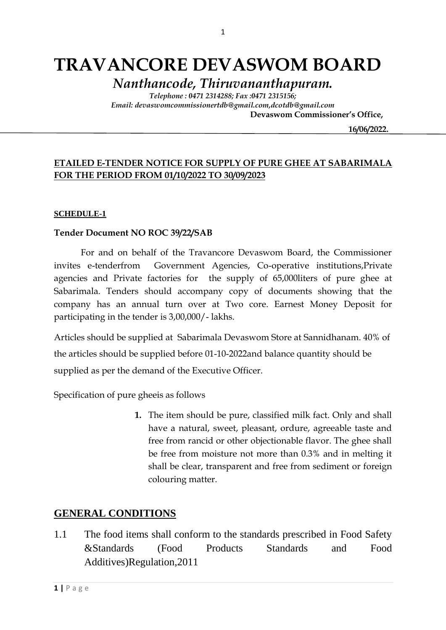# **TRAVANCORE DEVASWOM BOARD**

*Nanthancode, Thiruvananthapuram.*

*Telephone : 0471 2314288; Fax :0471 2315156; Email: devaswomcommissionertdb@gmail.com,dcotdb@gmail.com*

 **Devaswom Commissioner's Office,**

 **16/06/2022.**

### **ETAILED E-TENDER NOTICE FOR SUPPLY OF PURE GHEE AT SABARIMALA FOR THE PERIOD FROM 01/10/2022 TO 30/09/2023**

#### **SCHEDULE-1**

#### **Tender Document NO ROC 39/22/SAB**

For and on behalf of the Travancore Devaswom Board, the Commissioner invites e-tenderfrom Government Agencies, Co-operative institutions,Private agencies and Private factories for the supply of 65,000liters of pure ghee at Sabarimala. Tenders should accompany copy of documents showing that the company has an annual turn over at Two core. Earnest Money Deposit for participating in the tender is 3,00,000/- lakhs.

Articles should be supplied at Sabarimala Devaswom Store at Sannidhanam. 40% of the articles should be supplied before 01-10-2022and balance quantity should be supplied as per the demand of the Executive Officer.

Specification of pure gheeis as follows

**1.** The item should be pure, classified milk fact. Only and shall have a natural, sweet, pleasant, ordure, agreeable taste and free from rancid or other objectionable flavor. The ghee shall be free from moisture not more than 0.3% and in melting it shall be clear, transparent and free from sediment or foreign colouring matter.

#### **GENERAL CONDITIONS**

1.1 The food items shall conform to the standards prescribed in Food Safety &Standards (Food Products Standards and Food Additives)Regulation,2011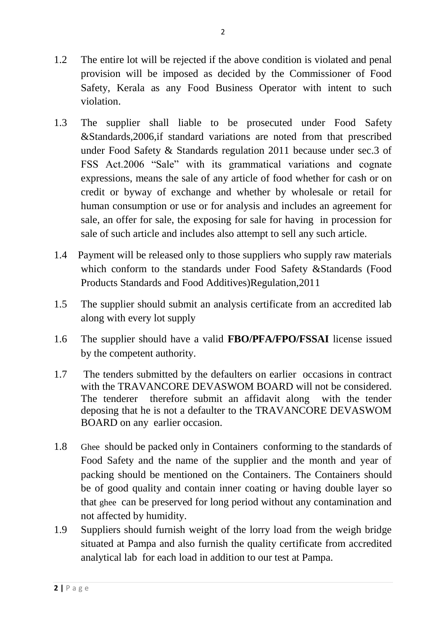- 1.3 The supplier shall liable to be prosecuted under Food Safety &Standards,2006,if standard variations are noted from that prescribed under Food Safety & Standards regulation 2011 because under sec.3 of FSS Act.2006 "Sale" with its grammatical variations and cognate expressions, means the sale of any article of food whether for cash or on credit or byway of exchange and whether by wholesale or retail for human consumption or use or for analysis and includes an agreement for sale, an offer for sale, the exposing for sale for having in procession for sale of such article and includes also attempt to sell any such article.
- 1.4 Payment will be released only to those suppliers who supply raw materials which conform to the standards under Food Safety &Standards (Food Products Standards and Food Additives)Regulation,2011
- 1.5 The supplier should submit an analysis certificate from an accredited lab along with every lot supply
- 1.6 The supplier should have a valid **FBO/PFA/FPO/FSSAI** license issued by the competent authority.
- 1.7 The tenders submitted by the defaulters on earlier occasions in contract with the TRAVANCORE DEVASWOM BOARD will not be considered. The tenderer therefore submit an affidavit along with the tender deposing that he is not a defaulter to the TRAVANCORE DEVASWOM BOARD on any earlier occasion.
- 1.8 Ghee should be packed only in Containers conforming to the standards of Food Safety and the name of the supplier and the month and year of packing should be mentioned on the Containers. The Containers should be of good quality and contain inner coating or having double layer so that ghee can be preserved for long period without any contamination and not affected by humidity.
- 1.9 Suppliers should furnish weight of the lorry load from the weigh bridge situated at Pampa and also furnish the quality certificate from accredited analytical lab for each load in addition to our test at Pampa.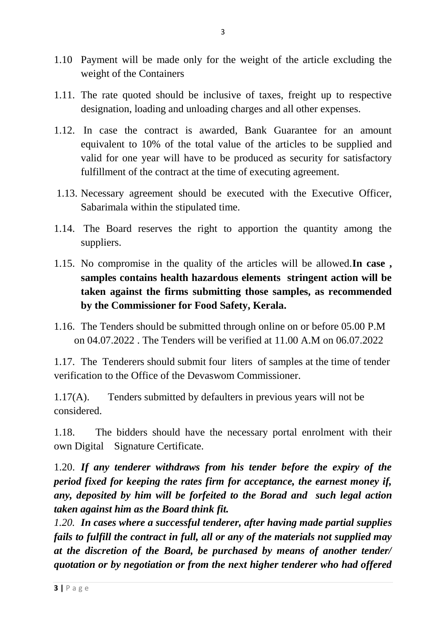- 1.10 Payment will be made only for the weight of the article excluding the weight of the Containers
- 1.11. The rate quoted should be inclusive of taxes, freight up to respective designation, loading and unloading charges and all other expenses.
- 1.12. In case the contract is awarded, Bank Guarantee for an amount equivalent to 10% of the total value of the articles to be supplied and valid for one year will have to be produced as security for satisfactory fulfillment of the contract at the time of executing agreement.
- 1.13. Necessary agreement should be executed with the Executive Officer, Sabarimala within the stipulated time.
- 1.14. The Board reserves the right to apportion the quantity among the suppliers.
- 1.15. No compromise in the quality of the articles will be allowed.**In case , samples contains health hazardous elements stringent action will be taken against the firms submitting those samples, as recommended by the Commissioner for Food Safety, Kerala.**
- 1.16. The Tenders should be submitted through online on or before 05.00 P.M on 04.07.2022 . The Tenders will be verified at 11.00 A.M on 06.07.2022

1.17. The Tenderers should submit four liters of samples at the time of tender verification to the Office of the Devaswom Commissioner.

1.17(A). Tenders submitted by defaulters in previous years will not be considered.

1.18. The bidders should have the necessary portal enrolment with their own Digital Signature Certificate.

1.20. *If any tenderer withdraws from his tender before the expiry of the period fixed for keeping the rates firm for acceptance, the earnest money if, any, deposited by him will be forfeited to the Borad and such legal action taken against him as the Board think fit.*

*1.20. In cases where a successful tenderer, after having made partial supplies fails to fulfill the contract in full, all or any of the materials not supplied may at the discretion of the Board, be purchased by means of another tender/ quotation or by negotiation or from the next higher tenderer who had offered*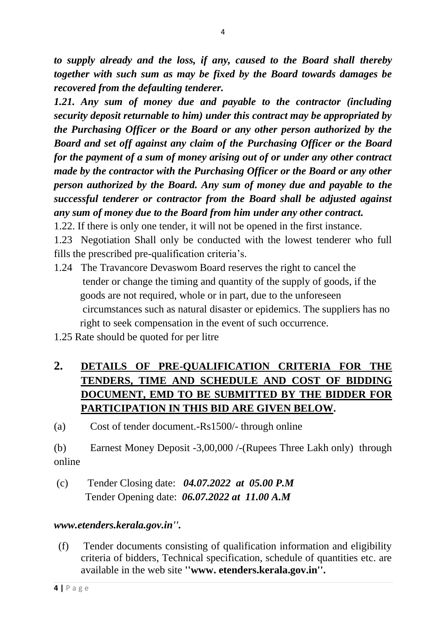*to supply already and the loss, if any, caused to the Board shall thereby together with such sum as may be fixed by the Board towards damages be recovered from the defaulting tenderer.*

*1.21. Any sum of money due and payable to the contractor (including security deposit returnable to him) under this contract may be appropriated by the Purchasing Officer or the Board or any other person authorized by the Board and set off against any claim of the Purchasing Officer or the Board for the payment of a sum of money arising out of or under any other contract made by the contractor with the Purchasing Officer or the Board or any other person authorized by the Board. Any sum of money due and payable to the successful tenderer or contractor from the Board shall be adjusted against any sum of money due to the Board from him under any other contract.*

1.22. If there is only one tender, it will not be opened in the first instance.

1.23 Negotiation Shall only be conducted with the lowest tenderer who full fills the prescribed pre-qualification criteria's.

- 1.24 The Travancore Devaswom Board reserves the right to cancel the tender or change the timing and quantity of the supply of goods, if the goods are not required, whole or in part, due to the unforeseen circumstances such as natural disaster or epidemics. The suppliers has no right to seek compensation in the event of such occurrence.
- 1.25 Rate should be quoted for per litre

# **2. DETAILS OF PRE-QUALIFICATION CRITERIA FOR THE TENDERS, TIME AND SCHEDULE AND COST OF BIDDING DOCUMENT, EMD TO BE SUBMITTED BY THE BIDDER FOR PARTICIPATION IN THIS BID ARE GIVEN BELOW.**

(a) Cost of tender document.-Rs1500/- through online

(b) Earnest Money Deposit -3,00,000 /-(Rupees Three Lakh only) through online

(c) Tender Closing date: *04.07.2022 at 05.00 P.M* Tender Opening date: *06.07.2022 at 11.00 A.M*

### *www.etenders.kerala.gov.in''.*

 (f) Tender documents consisting of qualification information and eligibility criteria of bidders, Technical specification, schedule of quantities etc. are available in the web site **''www. etenders.kerala.gov.in''.**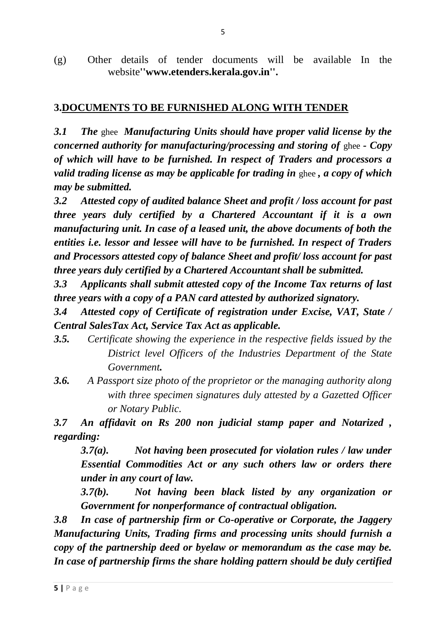(g) Other details of tender documents will be available In the website**''www.etenders.kerala.gov.in''.**

## **3.DOCUMENTS TO BE FURNISHED ALONG WITH TENDER**

*3.1 The* ghee *Manufacturing Units should have proper valid license by the concerned authority for manufacturing/processing and storing of* ghee *- Copy of which will have to be furnished. In respect of Traders and processors a valid trading license as may be applicable for trading in* ghee *, a copy of which may be submitted.*

*3.2 Attested copy of audited balance Sheet and profit / loss account for past three years duly certified by a Chartered Accountant if it is a own manufacturing unit. In case of a leased unit, the above documents of both the entities i.e. lessor and lessee will have to be furnished. In respect of Traders and Processors attested copy of balance Sheet and profit/ loss account for past three years duly certified by a Chartered Accountant shall be submitted.*

*3.3 Applicants shall submit attested copy of the Income Tax returns of last three years with a copy of a PAN card attested by authorized signatory.*

*3.4 Attested copy of Certificate of registration under Excise, VAT, State / Central SalesTax Act, Service Tax Act as applicable.*

- *3.5. Certificate showing the experience in the respective fields issued by the District level Officers of the Industries Department of the State Government.*
- *3.6. A Passport size photo of the proprietor or the managing authority along with three specimen signatures duly attested by a Gazetted Officer or Notary Public.*

*3.7 An affidavit on Rs 200 non judicial stamp paper and Notarized , regarding:*

*3.7(a). Not having been prosecuted for violation rules / law under Essential Commodities Act or any such others law or orders there under in any court of law.*

*3.7(b). Not having been black listed by any organization or Government for nonperformance of contractual obligation.*

*3.8 In case of partnership firm or Co-operative or Corporate, the Jaggery Manufacturing Units, Trading firms and processing units should furnish a copy of the partnership deed or byelaw or memorandum as the case may be. In case of partnership firms the share holding pattern should be duly certified*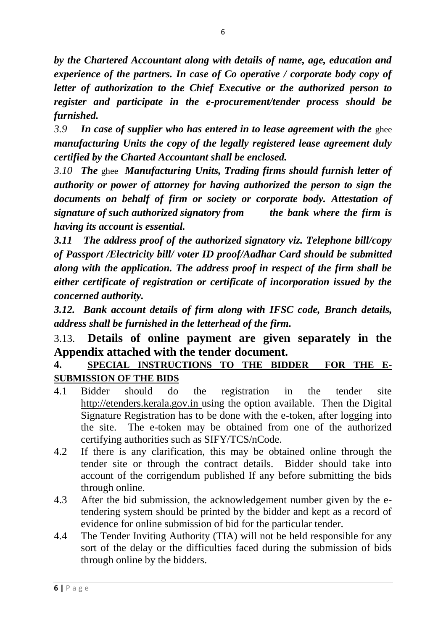*by the Chartered Accountant along with details of name, age, education and experience of the partners. In case of Co operative / corporate body copy of letter of authorization to the Chief Executive or the authorized person to register and participate in the e-procurement/tender process should be furnished.*

*3.9 In case of supplier who has entered in to lease agreement with the* ghee *manufacturing Units the copy of the legally registered lease agreement duly certified by the Charted Accountant shall be enclosed.*

*3.10 The* ghee *Manufacturing Units, Trading firms should furnish letter of authority or power of attorney for having authorized the person to sign the documents on behalf of firm or society or corporate body. Attestation of signature of such authorized signatory from the bank where the firm is having its account is essential.*

*3.11 The address proof of the authorized signatory viz. Telephone bill/copy of Passport /Electricity bill/ voter ID proof/Aadhar Card should be submitted along with the application. The address proof in respect of the firm shall be either certificate of registration or certificate of incorporation issued by the concerned authority.*

*3.12. Bank account details of firm along with IFSC code, Branch details, address shall be furnished in the letterhead of the firm.*

# 3.13. **Details of online payment are given separately in the Appendix attached with the tender document.**

# **4. SPECIAL INSTRUCTIONS TO THE BIDDER FOR THE E-SUBMISSION OF THE BIDS**

- 4.1 Bidder should do the registration in the tender site http://etenders.kerala.gov.in using the option available. Then the Digital Signature Registration has to be done with the e-token, after logging into the site. The e-token may be obtained from one of the authorized certifying authorities such as SIFY/TCS/nCode.
- 4.2 If there is any clarification, this may be obtained online through the tender site or through the contract details. Bidder should take into account of the corrigendum published If any before submitting the bids through online.
- 4.3 After the bid submission, the acknowledgement number given by the etendering system should be printed by the bidder and kept as a record of evidence for online submission of bid for the particular tender.
- 4.4 The Tender Inviting Authority (TIA) will not be held responsible for any sort of the delay or the difficulties faced during the submission of bids through online by the bidders.